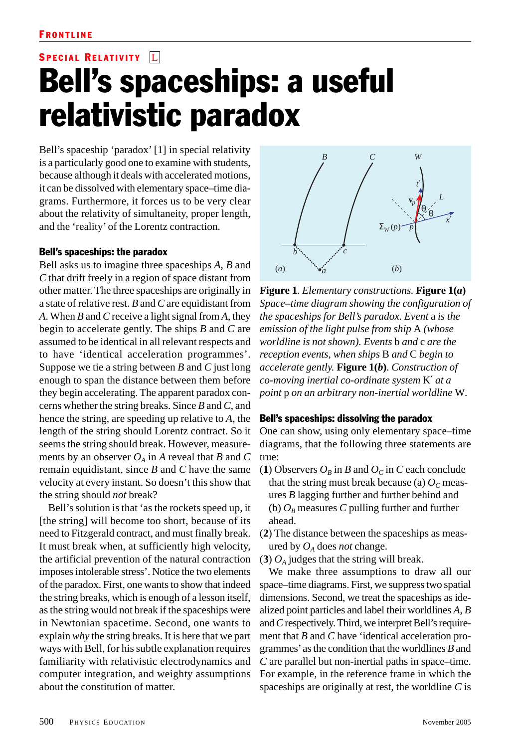# SPECIAL RELATIVITY Bell's spaceships: a useful relativistic paradox L

Bell's spaceship 'paradox' [1] in special relativity is a particularly good one to examine with students, because although it deals with accelerated motions, it can be dissolved with elementary space–time diagrams. Furthermore, it forces us to be very clear about the relativity of simultaneity, proper length, and the 'reality' of the Lorentz contraction.

### Bell's spaceships: the paradox

Bell asks us to imagine three spaceships *A*, *B* and *C* that drift freely in a region of space distant from other matter. The three spaceships are originally in a state of relative rest. *B* and *C* are equidistant from *A*. When *B* and *C* receive a light signal from *A*, they begin to accelerate gently. The ships *B* and *C* are assumed to be identical in all relevant respects and to have 'identical acceleration programmes'. Suppose we tie a string between *B* and *C* just long enough to span the distance between them before they begin accelerating. The apparent paradox concerns whether the string breaks. Since *B* and *C*, and hence the string, are speeding up relative to *A*, the length of the string should Lorentz contract. So it seems the string should break. However, measurements by an observer  $O_A$  in *A* reveal that *B* and *C* remain equidistant, since *B* and *C* have the same velocity at every instant. So doesn't this show that the string should *not* break?

Bell's solution is that 'as the rockets speed up, it [the string] will become too short, because of its need to Fitzgerald contract, and must finally break. It must break when, at sufficiently high velocity, the artificial prevention of the natural contraction imposes intolerable stress'. Notice the two elements of the paradox. First, one wants to show that indeed the string breaks, which is enough of a lesson itself, as the string would not break if the spaceships were in Newtonian spacetime. Second, one wants to explain *why* the string breaks. It is here that we part ways with Bell, for his subtle explanation requires familiarity with relativistic electrodynamics and computer integration, and weighty assumptions about the constitution of matter.



**Figure 1***. Elementary constructions.* **Figure 1(***a***)** *Space–time diagram showing the configuration of the spaceships for Bell's paradox. Event* a *is the emission of the light pulse from ship* A *(whose worldline is not shown). Events* b *and* c *are the reception events, when ships* B *and* C *begin to accelerate gently.* **Figure 1(***b***)***. Construction of co-moving inertial co-ordinate system* K′ *at a point* p *on an arbitrary non-inertial worldline* W*.*

#### Bell's spaceships: dissolving the paradox

One can show, using only elementary space–time diagrams, that the following three statements are true:

- (1) Observers  $O_B$  in *B* and  $O_C$  in *C* each conclude that the string must break because (a)  $O<sub>C</sub>$  measures *B* lagging further and further behind and (b)  $O_B$  measures *C* pulling further and further ahead.
- (**2**) The distance between the spaceships as measured by *OA* does *not* change.
- (3)  $O_A$  judges that the string will break.

We make three assumptions to draw all our space–time diagrams. First, we suppress two spatial dimensions. Second, we treat the spaceships as idealized point particles and label their worldlines *A*, *B* and *C*respectively. Third, we interpret Bell's requirement that *B* and *C* have 'identical acceleration programmes'as the condition that the worldlines *B* and *C* are parallel but non-inertial paths in space–time. For example, in the reference frame in which the spaceships are originally at rest, the worldline *C* is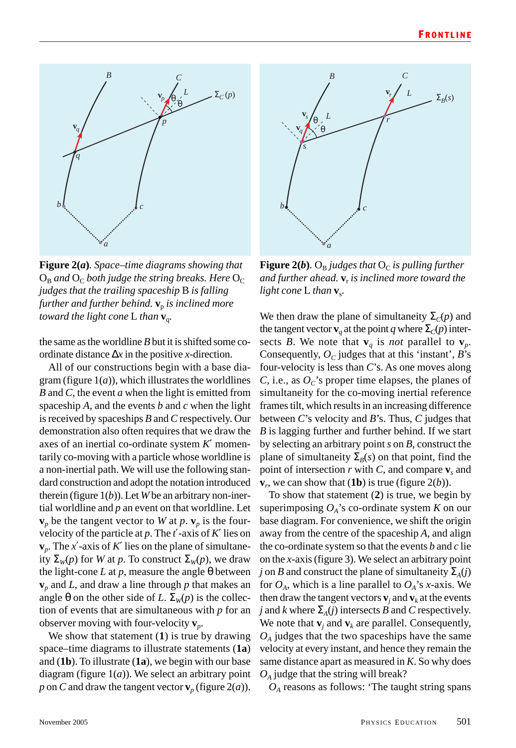

**Figure 2(***a***)***. Space–time diagrams showing that*  $O_B$  *and*  $O_C$  *both judge the string breaks. Here*  $O_C$ *judges that the trailing spaceship* B *is falling further and further behind.*  $\mathbf{v}_p$  *is inclined more toward the light cone* L *than* **v**q*.*

the same as the worldline *B* but it is shifted some coordinate distance ∆*x* in the positive *x*-direction.

All of our constructions begin with a base diagram (figure  $1(a)$ ), which illustrates the worldlines *B* and *C*, the event *a* when the light is emitted from spaceship *A*, and the events *b* and *c* when the light is received by spaceships *B* and *C* respectively. Our demonstration also often requires that we draw the axes of an inertial co-ordinate system *K*′ momentarily co-moving with a particle whose worldline is a non-inertial path. We will use the following standard construction and adopt the notation introduced therein (figure 1(*b*)). Let *W* be an arbitrary non-inertial worldline and *p* an event on that worldline. Let  $\mathbf{v}_p$  be the tangent vector to *W* at *p*.  $\mathbf{v}_p$  is the fourvelocity of the particle at *p*. The *t*′-axis of *K*′ lies on **. The** *x***'-axis of** *K***' lies on the plane of simultane**ity  $\Sigma_W(p)$  for *W* at *p*. To construct  $\Sigma_W(p)$ , we draw the light-cone *L* at *p*, measure the angle θ between **v***<sup>p</sup>* and *L*, and draw a line through *p* that makes an angle  $\theta$  on the other side of *L*.  $\Sigma_w(p)$  is the collection of events that are simultaneous with *p* for an observer moving with four-velocity **v***p*.

We show that statement (**1**) is true by drawing space–time diagrams to illustrate statements (**1a**) and (**1b**). To illustrate (**1a**), we begin with our base diagram (figure 1(*a*)). We select an arbitrary point *p* on *C* and draw the tangent vector  $\mathbf{v}_p$  (figure 2(*a*)).



**Figure 2(b)**.  $O_B$  *judges that*  $O_C$  *is pulling further and further ahead.*  $\mathbf{v}_r$  *is inclined more toward the light cone* L *than* **v**s*.*

We then draw the plane of simultaneity  $\Sigma_c(p)$  and the tangent vector  $\mathbf{v}_q$  at the point *q* where  $\Sigma_c(p)$  intersects *B*. We note that  $\mathbf{v}_q$  is *not* parallel to  $\mathbf{v}_p$ . Consequently,  $O_C$  judges that at this 'instant', *B*'s four-velocity is less than *C*'s. As one moves along *C*, i.e., as  $O<sub>C</sub>$ 's proper time elapses, the planes of simultaneity for the co-moving inertial reference frames tilt, which results in an increasing difference between *C*'s velocity and *B*'s. Thus, *C* judges that *B* is lagging further and further behind. If we start by selecting an arbitrary point *s* on *B*, construct the plane of simultaneity  $\Sigma_B(s)$  on that point, find the point of intersection  $r$  with  $C$ , and compare  $\mathbf{v}_s$  and **, we can show that (<b>1b**) is true (figure 2(*b*)).

To show that statement (**2**) is true, we begin by superimposing  $O_A$ 's co-ordinate system *K* on our base diagram. For convenience, we shift the origin away from the centre of the spaceship *A*, and align the co-ordinate system so that the events *b* and *c* lie on the *x*-axis (figure 3). We select an arbitrary point *j* on *B* and construct the plane of simultaneity  $\Sigma_A(j)$ for  $O_A$ , which is a line parallel to  $O_A$ 's *x*-axis. We then draw the tangent vectors  $\mathbf{v}_i$  and  $\mathbf{v}_k$  at the events *j* and *k* where  $\Sigma_A(j)$  intersects *B* and *C* respectively. We note that  $\mathbf{v}_i$  and  $\mathbf{v}_k$  are parallel. Consequently, *OA* judges that the two spaceships have the same velocity at every instant, and hence they remain the same distance apart as measured in *K*. So why does  $O_A$  judge that the string will break?

 $O<sub>A</sub>$  reasons as follows: 'The taught string spans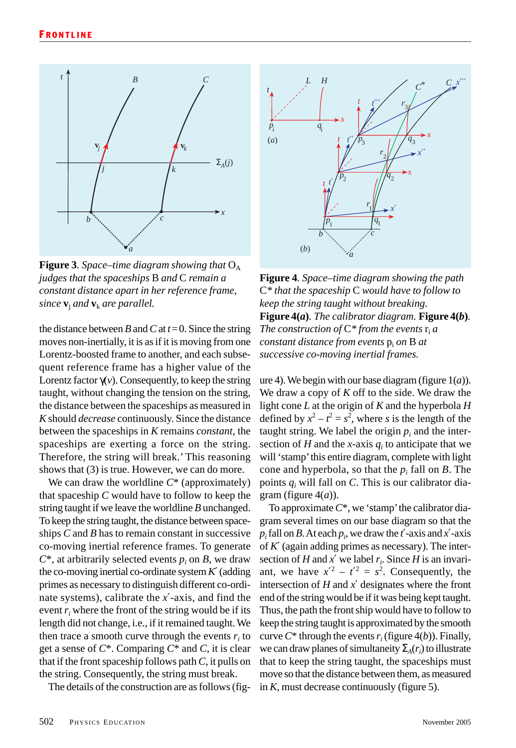

**Figure 3***. Space–time diagram showing that*  $O_A$ *judges that the spaceships* B *and* C *remain a constant distance apart in her reference frame, since*  $\mathbf{v}_i$  *and*  $\mathbf{v}_k$  *are parallel.* 

the distance between *B* and *C* at  $t=0$ . Since the string moves non-inertially, it is as if it is moving from one Lorentz-boosted frame to another, and each subsequent reference frame has a higher value of the Lorentz factor γ(*v*). Consequently, to keep the string taught, without changing the tension on the string, the distance between the spaceships as measured in *K* should *decrease* continuously. Since the distance between the spaceships in *K* remains *constant*, the spaceships are exerting a force on the string. Therefore, the string will break.' This reasoning shows that (3) is true. However, we can do more.

We can draw the worldline *C*\* (approximately) that spaceship *C* would have to follow to keep the string taught if we leave the worldline *B* unchanged. To keep the string taught, the distance between spaceships *C* and *B* has to remain constant in successive co-moving inertial reference frames. To generate  $C^*$ , at arbitrarily selected events  $p_i$  on *B*, we draw the co-moving inertial co-ordinate system *K*′(adding primes as necessary to distinguish different co-ordinate systems), calibrate the *x*′-axis, and find the event  $r_i$  where the front of the string would be if its length did not change, i.e., if it remained taught. We then trace a smooth curve through the events  $r_i$  to get a sense of *C*\*. Comparing *C*\* and *C*, it is clear that if the front spaceship follows path *C*, it pulls on the string. Consequently, the string must break.

The details of the construction are as follows (fig-



**Figure 4***. Space–time diagram showing the path* C*\* that the spaceship* C *would have to follow to keep the string taught without breaking.* **Figure 4(***a***)***. The calibrator diagram.* **Figure 4(***b***)***. The construction of*  $C^*$  *from the events*  $\mathbf{r}_i$  *a constant distance from events* pi *on* B *at successive co-moving inertial frames.*

ure 4). We begin with our base diagram (figure 1(*a*)). We draw a copy of *K* off to the side. We draw the light cone *L* at the origin of *K* and the hyperbola *H* defined by  $x^2 - t^2 = s^2$ , where *s* is the length of the taught string. We label the origin  $p_i$  and the intersection of *H* and the *x*-axis  $q_i$  to anticipate that we will 'stamp' this entire diagram, complete with light cone and hyperbola, so that the  $p_i$  fall on *B*. The points *qi* will fall on *C*. This is our calibrator diagram (figure  $4(a)$ ).

To approximate  $C^*$ , we 'stamp' the calibrator diagram several times on our base diagram so that the  $p_i$  fall on *B*. At each  $p_i$ , we draw the *t*'-axis and *x*'-axis of *K*′ (again adding primes as necessary). The intersection of *H* and  $x'$  we label  $r_i$ . Since *H* is an invariant, we have  $x'^2 - t'^2 = s^2$ . Consequently, the intersection of *H* and *x*′ designates where the front end of the string would be if it was being kept taught. Thus, the path the front ship would have to follow to keep the string taught is approximated by the smooth curve  $C^*$  through the events  $r_i$  (figure 4(*b*)). Finally, we can draw planes of simultaneity  $\Sigma_A(r_i)$  to illustrate that to keep the string taught, the spaceships must move so that the distance between them, as measured in *K*, must decrease continuously (figure 5).